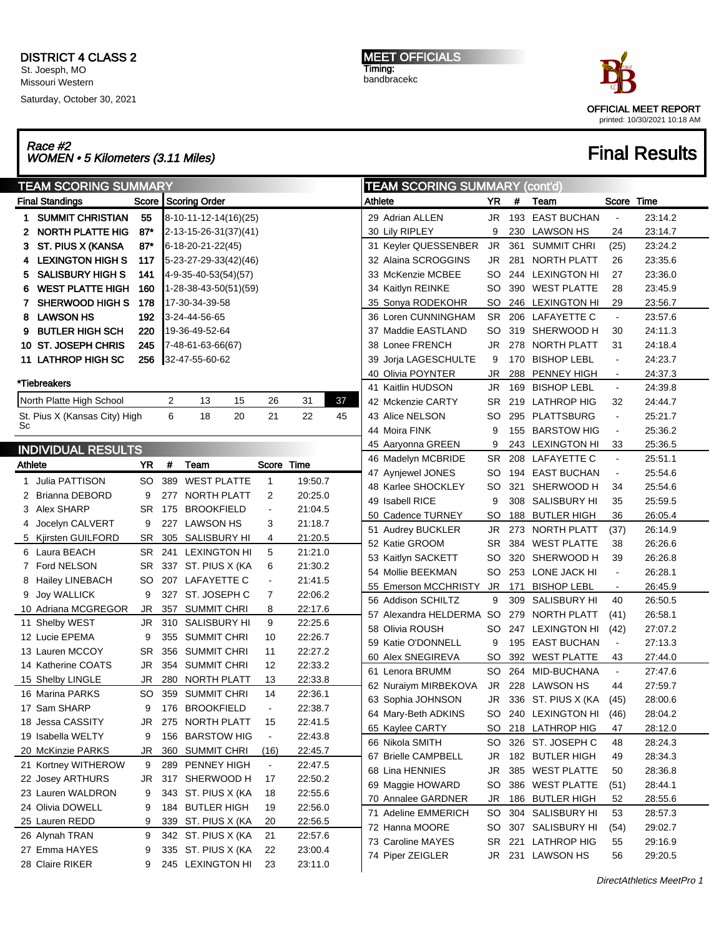### DISTRICT 4 CLASS 2 St. Joesph, MO Missouri Western

Saturday, October 30, 2021

MEET OFFICIALS Timing: bandbracekc



## Race #2<br>WOMEN • 5 Kilometers (3.11 Miles) Final Results

|         | <b>TEAM SCORING SUMMARY</b>   |           |     |                       |                |         |    | <b>TEAM SCORING SUMMARY (cont'd)</b> |                          |           |     |                    |                |         |
|---------|-------------------------------|-----------|-----|-----------------------|----------------|---------|----|--------------------------------------|--------------------------|-----------|-----|--------------------|----------------|---------|
|         | <b>Final Standings</b>        |           |     | Score Scoring Order   |                |         |    | Athlete                              |                          | YR.       | #   | Team               | Score Time     |         |
| 1.      | <b>SUMMIT CHRISTIAN</b>       | 55        |     | 8-10-11-12-14(16)(25) |                |         |    |                                      | 29 Adrian ALLEN          | JR        |     | 193 EAST BUCHAN    | $\blacksquare$ | 23:14.2 |
| 2       | <b>NORTH PLATTE HIG</b>       | $87*$     |     | 2-13-15-26-31(37)(41) |                |         |    |                                      | 30 Lily RIPLEY           | 9         |     | 230 LAWSON HS      | 24             | 23:14.7 |
| 3.      | ST. PIUS X (KANSA             | $87*$     |     | 6-18-20-21-22(45)     |                |         |    |                                      | 31 Keyler QUESSENBER     | <b>JR</b> | 361 | <b>SUMMIT CHRI</b> | (25)           | 23:24.2 |
|         | 4 LEXINGTON HIGH S            | 117       |     | 5-23-27-29-33(42)(46) |                |         |    |                                      | 32 Alaina SCROGGINS      | JR        | 281 | NORTH PLATT        | 26             | 23:35.6 |
| 5.      | <b>SALISBURY HIGH S</b>       | 141       |     | 4-9-35-40-53(54)(57)  |                |         |    |                                      | 33 McKenzie MCBEE        | SO        |     | 244 LEXINGTON HI   | 27             | 23:36.0 |
|         | <b>WEST PLATTE HIGH</b>       | 160       |     | 1-28-38-43-50(51)(59) |                |         |    |                                      | 34 Kaitlyn REINKE        | SO        |     | 390 WEST PLATTE    | 28             | 23:45.9 |
| 7.      | SHERWOOD HIGH S               | 178       |     | 17-30-34-39-58        |                |         |    |                                      | 35 Sonya RODEKOHR        | <b>SO</b> |     | 246 LEXINGTON HI   | 29             | 23:56.7 |
| 8       | <b>LAWSON HS</b>              | 192       |     | 3-24-44-56-65         |                |         |    |                                      | 36 Loren CUNNINGHAM      | SR.       |     | 206 LAFAYETTE C    | $\blacksquare$ | 23:57.6 |
| 9       | <b>BUTLER HIGH SCH</b>        | 220       |     | 19-36-49-52-64        |                |         |    |                                      | 37 Maddie EASTLAND       | SO        |     | 319 SHERWOOD H     | 30             | 24:11.3 |
|         | 10 ST. JOSEPH CHRIS           | 245       |     | 7-48-61-63-66(67)     |                |         |    |                                      | 38 Lonee FRENCH          | JR        |     | 278 NORTH PLATT    | 31             | 24:18.4 |
|         | 11 LATHROP HIGH SC            | 256       |     | 32-47-55-60-62        |                |         |    |                                      | 39 Jorja LAGESCHULTE     | 9         | 170 | <b>BISHOP LEBL</b> | $\blacksquare$ | 24:23.7 |
|         |                               |           |     |                       |                |         |    |                                      | 40 Olivia POYNTER        | JR        | 288 | PENNEY HIGH        | $\blacksquare$ | 24:37.3 |
|         | *Tiebreakers                  |           |     |                       |                |         |    |                                      | 41 Kaitlin HUDSON        | JR        |     | 169 BISHOP LEBL    | $\blacksquare$ | 24:39.8 |
|         | North Platte High School      |           | 2   | 15<br>13              | 26             | 31      | 37 |                                      | 42 Mckenzie CARTY        | SR        |     | 219 LATHROP HIG    | 32             | 24:44.7 |
|         | St. Pius X (Kansas City) High |           | 6   | 18<br>20              | 21             | 22      | 45 |                                      | 43 Alice NELSON          | SO        |     | 295 PLATTSBURG     | $\blacksquare$ | 25:21.7 |
| Sc      |                               |           |     |                       |                |         |    |                                      | 44 Moira FINK            | 9         |     | 155 BARSTOW HIG    | $\blacksquare$ | 25:36.2 |
|         | <b>INDIVIDUAL RESULTS</b>     |           |     |                       |                |         |    |                                      | 45 Aaryonna GREEN        | 9         |     | 243 LEXINGTON HI   | 33             | 25:36.5 |
| Athlete |                               | <b>YR</b> | #   | Team                  | Score Time     |         |    |                                      | 46 Madelyn MCBRIDE       | SR        |     | 208 LAFAYETTE C    | $\blacksquare$ | 25:51.1 |
|         | 1 Julia PATTISON              | SO        |     | 389 WEST PLATTE       | 1              | 19:50.7 |    |                                      | 47 Aynjewel JONES        | SO        |     | 194 EAST BUCHAN    | $\blacksquare$ | 25:54.6 |
|         | 2 Brianna DEBORD              | 9         | 277 | NORTH PLATT           | 2              | 20:25.0 |    |                                      | 48 Karlee SHOCKLEY       | SO        | 321 | SHERWOOD H         | 34             | 25:54.6 |
|         | 3 Alex SHARP                  | SR.       | 175 | <b>BROOKFIELD</b>     |                | 21:04.5 |    |                                      | 49 Isabell RICE          | 9         |     | 308 SALISBURY HI   | 35             | 25:59.5 |
|         | Jocelyn CALVERT               | 9         | 227 | <b>LAWSON HS</b>      | 3              | 21:18.7 |    |                                      | 50 Cadence TURNEY        | <b>SO</b> |     | 188 BUTLER HIGH    | 36             | 26:05.4 |
|         | 5 Kjirsten GUILFORD           | SR        |     | 305 SALISBURY HI      | 4              | 21:20.5 |    |                                      | 51 Audrey BUCKLER        | JR        |     | 273 NORTH PLATT    | (37)           | 26:14.9 |
|         | 6 Laura BEACH                 | SR        |     | 241 LEXINGTON HI      | 5              | 21:21.0 |    |                                      | 52 Katie GROOM           | SR        | 384 | <b>WEST PLATTE</b> | 38             | 26:26.6 |
|         | 7 Ford NELSON                 | SR        |     | 337 ST. PIUS X (KA    | 6              | 21:30.2 |    |                                      | 53 Kaitlyn SACKETT       | SO        |     | 320 SHERWOOD H     | 39             | 26:26.8 |
|         | 8 Hailey LINEBACH             | SO        |     | 207 LAFAYETTE C       | $\overline{a}$ | 21:41.5 |    |                                      | 54 Mollie BEEKMAN        | SO        |     | 253 LONE JACK HI   | $\blacksquare$ | 26:28.1 |
|         | 9 Joy WALLICK                 | 9         | 327 | ST. JOSEPH C          | 7              | 22:06.2 |    |                                      | 55 Emerson MCCHRISTY     | <b>JR</b> | 171 | <b>BISHOP LEBL</b> | $\blacksquare$ | 26:45.9 |
|         | 10 Adriana MCGREGOR           | JR        | 357 | <b>SUMMIT CHRI</b>    | 8              | 22:17.6 |    |                                      | 56 Addison SCHILTZ       | 9         | 309 | SALISBURY HI       | 40             | 26:50.5 |
|         | 11 Shelby WEST                | JR        |     | 310 SALISBURY HI      | 9              | 22:25.6 |    |                                      | 57 Alexandra HELDERMA SO |           | 279 | NORTH PLATT        | (41)           | 26:58.1 |
|         | 12 Lucie EPEMA                | 9         |     | 355 SUMMIT CHRI       | 10             | 22:26.7 |    |                                      | 58 Olivia ROUSH          | SO        |     | 247 LEXINGTON HI   | (42)           | 27:07.2 |
|         | 13 Lauren MCCOY               | SR        |     | 356 SUMMIT CHRI       | 11             | 22:27.2 |    |                                      | 59 Katie O'DONNELL       | 9         |     | 195 EAST BUCHAN    | $\blacksquare$ | 27:13.3 |
|         | 14 Katherine COATS            | JR        |     | 354 SUMMIT CHRI       | 12             | 22:33.2 |    |                                      | 60 Alex SNEGIREVA        | <b>SO</b> | 392 | <b>WEST PLATTE</b> | 43             | 27:44.0 |
|         | 15 Shelby LINGLE              | JR        | 280 | NORTH PLATT           | 13             | 22:33.8 |    |                                      | 61 Lenora BRUMM          | SO.       |     | 264 MID-BUCHANA    | $\blacksquare$ | 27:47.6 |
|         | 16 Marina PARKS               | SO        |     | 359 SUMMIT CHRI       | 14             | 22:36.1 |    |                                      | 62 Nuraiym MIRBEKOVA     | JR        |     | 228 LAWSON HS      | 44             | 27:59.7 |
|         | 17 Sam SHARP                  | 9         |     | 176 BROOKFIELD        |                | 22:38.7 |    |                                      | 63 Sophia JOHNSON        | JR        |     | 336 ST. PIUS X (KA | (45)           | 28:00.6 |
|         | 18 Jessa CASSITY              | JR        |     | 275 NORTH PLATT       | 15             | 22:41.5 |    |                                      | 64 Mary-Beth ADKINS      | SO        |     | 240 LEXINGTON HI   | (46)           | 28:04.2 |
|         | 19 Isabella WELTY             | 9         |     | 156 BARSTOW HIG       | $\blacksquare$ | 22:43.8 |    |                                      | 65 Kaylee CARTY          | SO        |     | 218 LATHROP HIG    | 47             | 28:12.0 |
|         | 20 McKinzie PARKS             | JR        |     | 360 SUMMIT CHRI       | (16)           | 22:45.7 |    |                                      | 66 Nikola SMITH          | SO        |     | 326 ST. JOSEPH C   | 48             | 28:24.3 |
|         | 21 Kortney WITHEROW           | 9         |     | 289 PENNEY HIGH       | $\blacksquare$ | 22:47.5 |    |                                      | 67 Brielle CAMPBELL      | JR        |     | 182 BUTLER HIGH    | 49             | 28:34.3 |
|         | 22 Josey ARTHURS              | JR        |     | 317 SHERWOOD H        | 17             | 22:50.2 |    |                                      | 68 Lina HENNIES          | <b>JR</b> |     | 385 WEST PLATTE    | 50             | 28:36.8 |
|         | 23 Lauren WALDRON             | 9         |     | 343 ST. PIUS X (KA    | 18             | 22:55.6 |    |                                      | 69 Maggie HOWARD         | SO        |     | 386 WEST PLATTE    | (51)           | 28:44.1 |
|         | 24 Olivia DOWELL              | 9         |     | 184 BUTLER HIGH       | 19             | 22:56.0 |    |                                      | 70 Annalee GARDNER       | JR        |     | 186 BUTLER HIGH    | 52             | 28:55.6 |
|         | 25 Lauren REDD                | 9         |     | 339 ST. PIUS X (KA    | 20             | 22:56.5 |    |                                      | 71 Adeline EMMERICH      | SO        |     | 304 SALISBURY HI   | 53             | 28:57.3 |
|         | 26 Alynah TRAN                | 9         |     | 342 ST. PIUS X (KA    | 21             | 22:57.6 |    |                                      | 72 Hanna MOORE           | SO        |     | 307 SALISBURY HI   | (54)           | 29:02.7 |
|         | 27  Emma HAYES                | 9         |     | 335 ST. PIUS X (KA    | 22             | 23:00.4 |    |                                      | 73 Caroline MAYES        | <b>SR</b> |     | 221 LATHROP HIG    | 55             | 29:16.9 |
|         | 28 Claire RIKER               | 9         |     | 245 LEXINGTON HI      | 23             | 23:11.0 |    |                                      | 74 Piper ZEIGLER         | JR        |     | 231 LAWSON HS      | 56             | 29:20.5 |
|         |                               |           |     |                       |                |         |    |                                      |                          |           |     |                    |                |         |